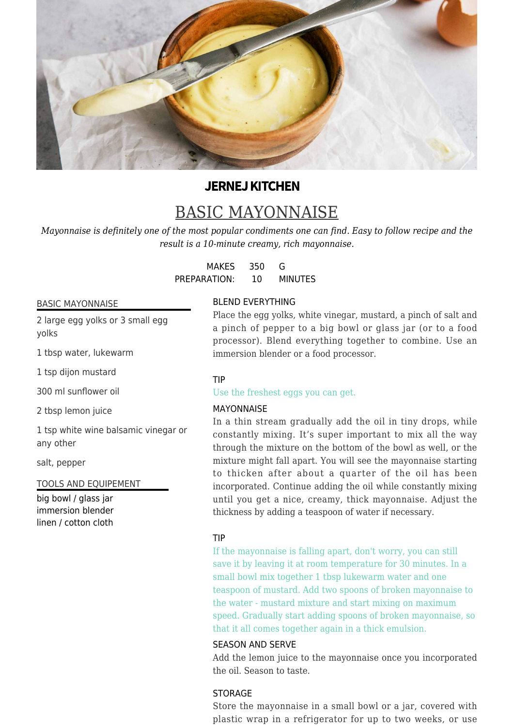

# **JERNEJ KITCHEN**

# BASIC MAYONNAISE

*Mayonnaise is definitely one of the most popular condiments one can find. Easy to follow recipe and the result is a 10-minute creamy, rich mayonnaise.*

> MAKES 350 G PREPARATION: 10 MINUTES

#### BASIC MAYONNAISE

2 large egg yolks or 3 small egg yolks

1 tbsp water, lukewarm

1 tsp dijon mustard

300 ml sunflower oil

2 tbsp lemon juice

1 tsp white wine balsamic vinegar or any other

salt, pepper

TOOLS AND EQUIPEMENT

big bowl / glass jar immersion blender linen / cotton cloth

### BLEND EVERYTHING

Place the egg yolks, white vinegar, mustard, a pinch of salt and a pinch of pepper to a big bowl or glass jar (or to a food processor). Blend everything together to combine. Use an immersion blender or a food processor.

#### TIP

Use the freshest eggs you can get.

#### MAYONNAISE

In a thin stream gradually add the oil in tiny drops, while constantly mixing. It's super important to mix all the way through the mixture on the bottom of the bowl as well, or the mixture might fall apart. You will see the mayonnaise starting to thicken after about a quarter of the oil has been incorporated. Continue adding the oil while constantly mixing until you get a nice, creamy, thick mayonnaise. Adjust the thickness by adding a teaspoon of water if necessary.

#### TIP

If the mayonnaise is falling apart, don't worry, you can still save it by leaving it at room temperature for 30 minutes. In a small bowl mix together 1 tbsp lukewarm water and one teaspoon of mustard. Add two spoons of broken mayonnaise to the water - mustard mixture and start mixing on maximum speed. Gradually start adding spoons of broken mayonnaise, so that it all comes together again in a thick emulsion.

#### SEASON AND SERVE

Add the lemon juice to the mayonnaise once you incorporated the oil. Season to taste.

## **STORAGE**

Store the mayonnaise in a small bowl or a jar, covered with plastic wrap in a refrigerator for up to two weeks, or use